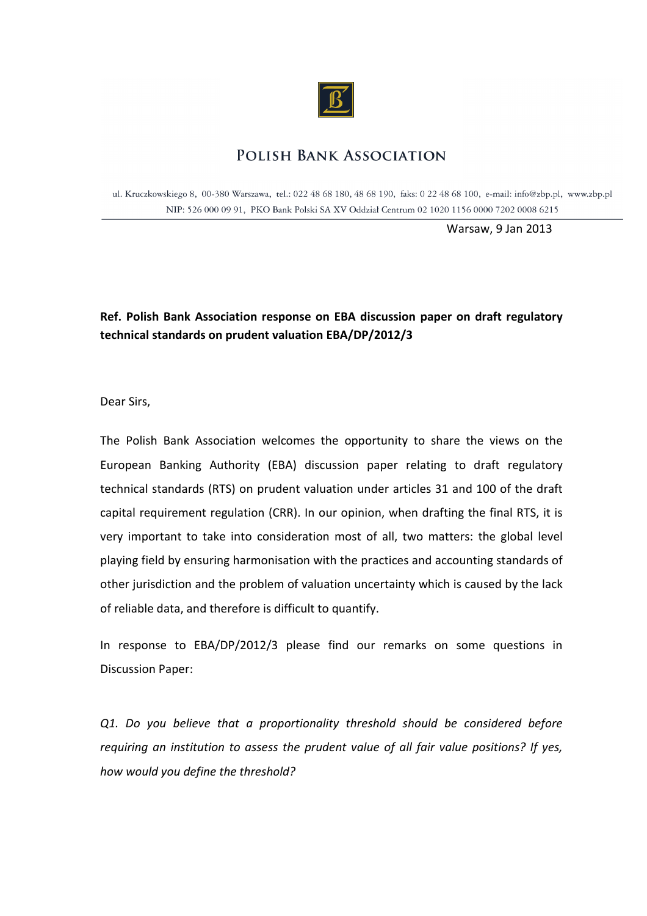

## **POLISH BANK ASSOCIATION**

ul. Kruczkowskiego 8, 00-380 Warszawa, tel.: 022 48 68 180, 48 68 190, faks: 0 22 48 68 100, e-mail: info@zbp.pl, www.zbp.pl NIP: 526 000 09 91, PKO Bank Polski SA XV Oddział Centrum 02 1020 1156 0000 7202 0008 6215

Warsaw, 9 Jan 2013

## **Ref. Polish Bank Association response on EBA discussion paper on draft regulatory technical standards on prudent valuation EBA/DP/2012/3**

Dear Sirs,

The Polish Bank Association welcomes the opportunity to share the views on the European Banking Authority (EBA) discussion paper relating to draft regulatory technical standards (RTS) on prudent valuation under articles 31 and 100 of the draft capital requirement regulation (CRR). In our opinion, when drafting the final RTS, it is very important to take into consideration most of all, two matters: the global level playing field by ensuring harmonisation with the practices and accounting standards of other jurisdiction and the problem of valuation uncertainty which is caused by the lack of reliable data, and therefore is difficult to quantify.

In response to EBA/DP/2012/3 please find our remarks on some questions in Discussion Paper:

*Q1. Do you believe that a proportionality threshold should be considered before requiring an institution to assess the prudent value of all fair value positions? If yes, how would you define the threshold?*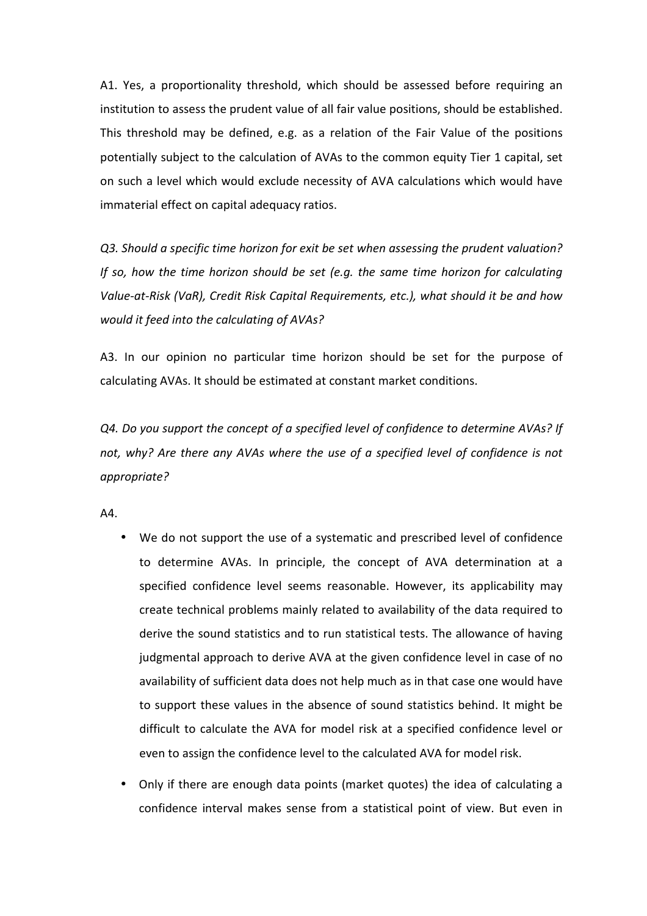A1. Yes, a proportionality threshold, which should be assessed before requiring an institution to assess the prudent value of all fair value positions, should be established. This threshold may be defined, e.g. as a relation of the Fair Value of the positions potentially subject to the calculation of AVAs to the common equity Tier 1 capital, set on such a level which would exclude necessity of AVA calculations which would have immaterial effect on capital adequacy ratios.

*Q3. Should a specific time horizon for exit be set when assessing the prudent valuation? If so, how the time horizon should be set (e.g. the same time horizon for calculating Value-at-Risk (VaR), Credit Risk Capital Requirements, etc.), what should it be and how would it feed into the calculating of AVAs?* 

A3. In our opinion no particular time horizon should be set for the purpose of calculating AVAs. It should be estimated at constant market conditions.

*Q4. Do you support the concept of a specified level of confidence to determine AVAs? If not, why? Are there any AVAs where the use of a specified level of confidence is not appropriate?* 

A4.

- We do not support the use of a systematic and prescribed level of confidence to determine AVAs. In principle, the concept of AVA determination at a specified confidence level seems reasonable. However, its applicability may create technical problems mainly related to availability of the data required to derive the sound statistics and to run statistical tests. The allowance of having judgmental approach to derive AVA at the given confidence level in case of no availability of sufficient data does not help much as in that case one would have to support these values in the absence of sound statistics behind. It might be difficult to calculate the AVA for model risk at a specified confidence level or even to assign the confidence level to the calculated AVA for model risk.
- Only if there are enough data points (market quotes) the idea of calculating a confidence interval makes sense from a statistical point of view. But even in